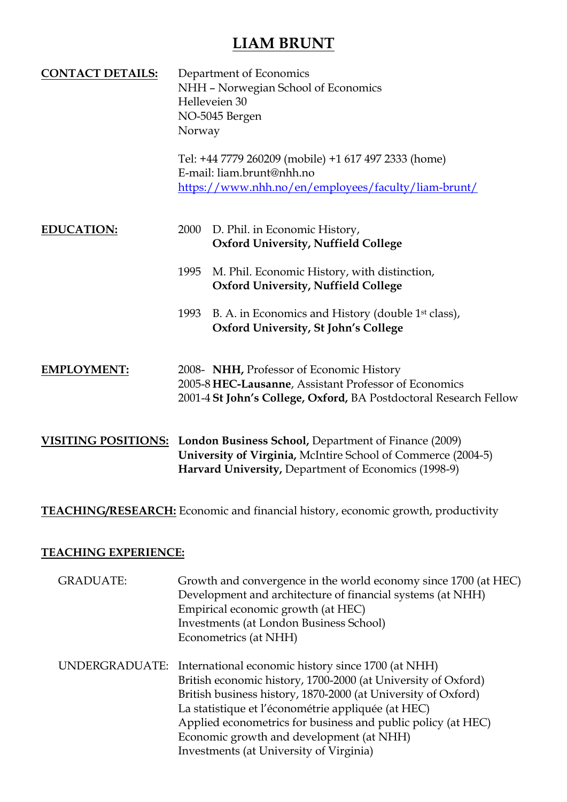| <b>CONTACT DETAILS:</b> | Department of Economics<br>NHH - Norwegian School of Economics<br>Helleveien 30<br>NO-5045 Bergen<br>Norway |                                                                                                                                                                        |
|-------------------------|-------------------------------------------------------------------------------------------------------------|------------------------------------------------------------------------------------------------------------------------------------------------------------------------|
|                         |                                                                                                             | Tel: +44 7779 260209 (mobile) +1 617 497 2333 (home)<br>E-mail: liam.brunt@nhh.no<br>https://www.nhh.no/en/employees/faculty/liam-brunt/                               |
| <b>EDUCATION:</b>       | <b>2000</b>                                                                                                 | D. Phil. in Economic History,<br><b>Oxford University, Nuffield College</b>                                                                                            |
|                         | 1995                                                                                                        | M. Phil. Economic History, with distinction,<br><b>Oxford University, Nuffield College</b>                                                                             |
|                         | 1993                                                                                                        | B. A. in Economics and History (double 1 <sup>st</sup> class),<br>Oxford University, St John's College                                                                 |
| <b>EMPLOYMENT:</b>      |                                                                                                             | 2008- NHH, Professor of Economic History<br>2005-8 HEC-Lausanne, Assistant Professor of Economics<br>2001-4 St John's College, Oxford, BA Postdoctoral Research Fellow |

**VISITING POSITIONS: London Business School,** Department of Finance (2009) **University of Virginia,** McIntire School of Commerce (2004-5) **Harvard University,** Department of Economics (1998-9)

#### **TEACHING/RESEARCH:** Economic and financial history, economic growth, productivity

#### **TEACHING EXPERIENCE:**

| <b>GRADUATE:</b> | Growth and convergence in the world economy since 1700 (at HEC)<br>Development and architecture of financial systems (at NHH)<br>Empirical economic growth (at HEC)<br><b>Investments (at London Business School)</b><br>Econometrics (at NHH)                                                                                                                                                                   |
|------------------|------------------------------------------------------------------------------------------------------------------------------------------------------------------------------------------------------------------------------------------------------------------------------------------------------------------------------------------------------------------------------------------------------------------|
|                  | UNDERGRADUATE: International economic history since 1700 (at NHH)<br>British economic history, 1700-2000 (at University of Oxford)<br>British business history, 1870-2000 (at University of Oxford)<br>La statistique et l'économétrie appliquée (at HEC)<br>Applied econometrics for business and public policy (at HEC)<br>Economic growth and development (at NHH)<br>Investments (at University of Virginia) |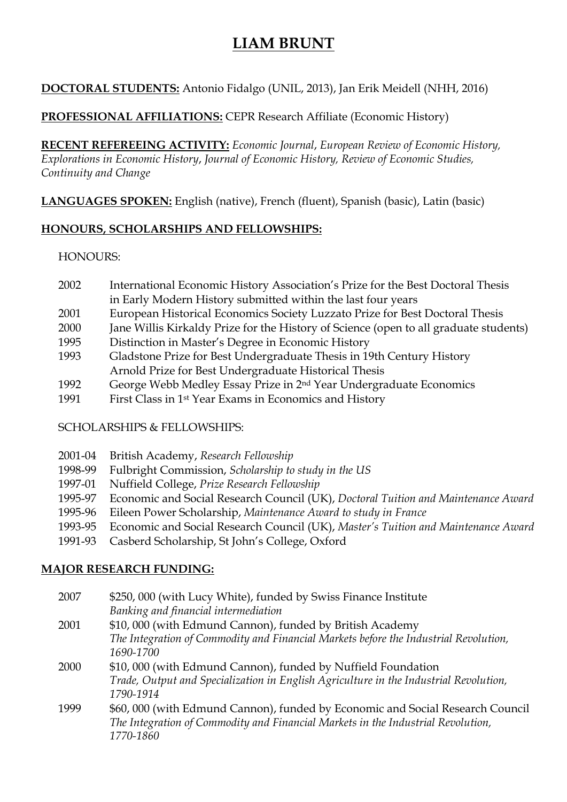## **DOCTORAL STUDENTS:** Antonio Fidalgo (UNIL, 2013), Jan Erik Meidell (NHH, 2016)

#### **PROFESSIONAL AFFILIATIONS:** CEPR Research Affiliate (Economic History)

**RECENT REFEREEING ACTIVITY:** *Economic Journal*, *European Review of Economic History, Explorations in Economic History*, *Journal of Economic History, Review of Economic Studies, Continuity and Change*

**LANGUAGES SPOKEN:** English (native), French (fluent), Spanish (basic), Latin (basic)

### **HONOURS, SCHOLARSHIPS AND FELLOWSHIPS:**

#### HONOURS:

- 2002 International Economic History Association's Prize for the Best Doctoral Thesis in Early Modern History submitted within the last four years
- 2001 European Historical Economics Society Luzzato Prize for Best Doctoral Thesis
- 2000 Jane Willis Kirkaldy Prize for the History of Science (open to all graduate students)
- 1995 Distinction in Master's Degree in Economic History
- 1993 Gladstone Prize for Best Undergraduate Thesis in 19th Century History Arnold Prize for Best Undergraduate Historical Thesis
- 1992 George Webb Medley Essay Prize in 2nd Year Undergraduate Economics
- 1991 First Class in 1st Year Exams in Economics and History

## SCHOLARSHIPS & FELLOWSHIPS:

- 2001-04 British Academy, *Research Fellowship*
- 1998-99 Fulbright Commission, *Scholarship to study in the US*
- 1997-01 Nuffield College, *Prize Research Fellowship*
- 1995-97 Economic and Social Research Council (UK), *Doctoral Tuition and Maintenance Award*
- 1995-96 Eileen Power Scholarship, *Maintenance Award to study in France*
- 1993-95 Economic and Social Research Council (UK), *Master's Tuition and Maintenance Award*
- 1991-93 Casberd Scholarship, St John's College, Oxford

## **MAJOR RESEARCH FUNDING:**

| 2007 | \$250,000 (with Lucy White), funded by Swiss Finance Institute                        |
|------|---------------------------------------------------------------------------------------|
|      | Banking and financial intermediation                                                  |
| 2001 | \$10,000 (with Edmund Cannon), funded by British Academy                              |
|      | The Integration of Commodity and Financial Markets before the Industrial Revolution,  |
|      | 1690-1700                                                                             |
| 2000 | \$10,000 (with Edmund Cannon), funded by Nuffield Foundation                          |
|      | Trade, Output and Specialization in English Agriculture in the Industrial Revolution, |
|      | 1790-1914                                                                             |
| 1999 | \$60,000 (with Edmund Cannon), funded by Economic and Social Research Council         |
|      | The Integration of Commodity and Financial Markets in the Industrial Revolution,      |
|      | 1770-1860                                                                             |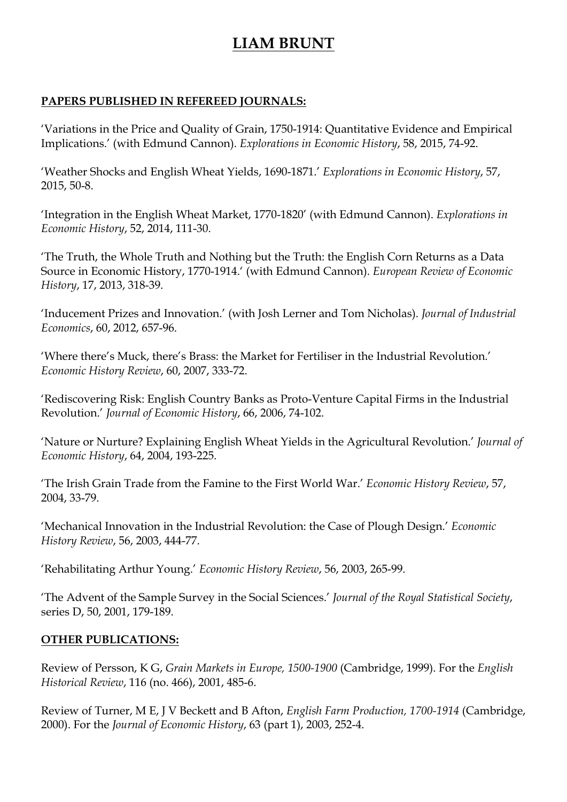### **PAPERS PUBLISHED IN REFEREED JOURNALS:**

'Variations in the Price and Quality of Grain, 1750-1914: Quantitative Evidence and Empirical Implications.' (with Edmund Cannon). *Explorations in Economic History*, 58, 2015, 74-92.

'Weather Shocks and English Wheat Yields, 1690-1871.' *Explorations in Economic History*, 57, 2015, 50-8.

'Integration in the English Wheat Market, 1770-1820' (with Edmund Cannon). *Explorations in Economic History*, 52, 2014, 111-30.

'The Truth, the Whole Truth and Nothing but the Truth: the English Corn Returns as a Data Source in Economic History, 1770-1914.' (with Edmund Cannon). *European Review of Economic History*, 17, 2013, 318-39.

'Inducement Prizes and Innovation.' (with Josh Lerner and Tom Nicholas). *Journal of Industrial Economics*, 60, 2012, 657-96.

'Where there's Muck, there's Brass: the Market for Fertiliser in the Industrial Revolution.' *Economic History Review*, 60, 2007, 333-72.

'Rediscovering Risk: English Country Banks as Proto-Venture Capital Firms in the Industrial Revolution.' *Journal of Economic History*, 66, 2006, 74-102.

'Nature or Nurture? Explaining English Wheat Yields in the Agricultural Revolution.' *Journal of Economic History*, 64, 2004, 193-225.

'The Irish Grain Trade from the Famine to the First World War.' *Economic History Review*, 57, 2004, 33-79.

'Mechanical Innovation in the Industrial Revolution: the Case of Plough Design.' *Economic History Review*, 56, 2003, 444-77.

'Rehabilitating Arthur Young.' *Economic History Review*, 56, 2003, 265-99.

'The Advent of the Sample Survey in the Social Sciences.' *Journal of the Royal Statistical Society*, series D, 50, 2001, 179-189.

#### **OTHER PUBLICATIONS:**

Review of Persson, K G, *Grain Markets in Europe, 1500-1900* (Cambridge, 1999). For the *English Historical Review*, 116 (no. 466), 2001, 485-6.

Review of Turner, M E, J V Beckett and B Afton, *English Farm Production, 1700-1914* (Cambridge, 2000). For the *Journal of Economic History*, 63 (part 1), 2003, 252-4.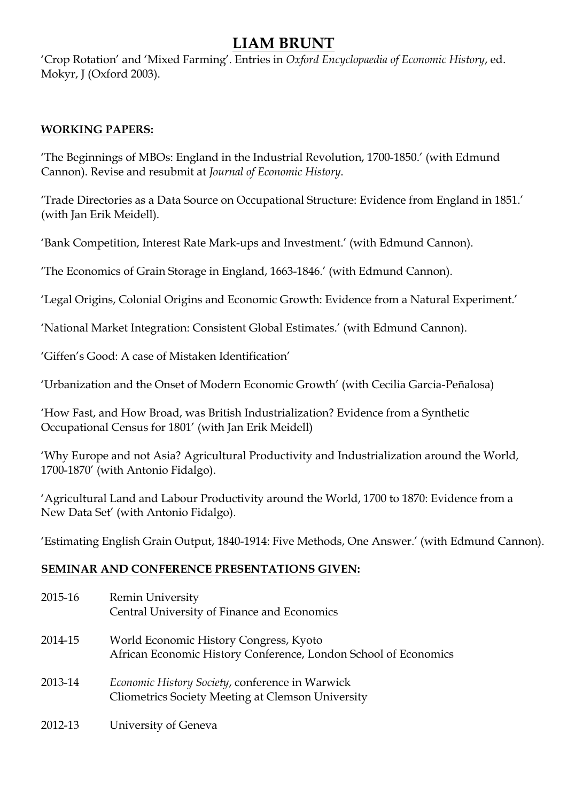'Crop Rotation' and 'Mixed Farming'. Entries in *Oxford Encyclopaedia of Economic History*, ed. Mokyr, J (Oxford 2003).

### **WORKING PAPERS:**

'The Beginnings of MBOs: England in the Industrial Revolution, 1700-1850.' (with Edmund Cannon). Revise and resubmit at *Journal of Economic History*.

'Trade Directories as a Data Source on Occupational Structure: Evidence from England in 1851.' (with Jan Erik Meidell).

'Bank Competition, Interest Rate Mark-ups and Investment.' (with Edmund Cannon).

'The Economics of Grain Storage in England, 1663-1846.' (with Edmund Cannon).

'Legal Origins, Colonial Origins and Economic Growth: Evidence from a Natural Experiment.'

'National Market Integration: Consistent Global Estimates.' (with Edmund Cannon).

'Giffen's Good: A case of Mistaken Identification'

'Urbanization and the Onset of Modern Economic Growth' (with Cecilia Garcia-Peñalosa)

'How Fast, and How Broad, was British Industrialization? Evidence from a Synthetic Occupational Census for 1801' (with Jan Erik Meidell)

'Why Europe and not Asia? Agricultural Productivity and Industrialization around the World, 1700-1870' (with Antonio Fidalgo).

'Agricultural Land and Labour Productivity around the World, 1700 to 1870: Evidence from a New Data Set' (with Antonio Fidalgo).

'Estimating English Grain Output, 1840-1914: Five Methods, One Answer.' (with Edmund Cannon).

#### **SEMINAR AND CONFERENCE PRESENTATIONS GIVEN:**

| 2015-16 | <b>Remin University</b><br>Central University of Finance and Economics                                    |
|---------|-----------------------------------------------------------------------------------------------------------|
| 2014-15 | World Economic History Congress, Kyoto<br>African Economic History Conference, London School of Economics |
| 2013-14 | Economic History Society, conference in Warwick<br>Cliometrics Society Meeting at Clemson University      |
| 2012-13 | University of Geneva                                                                                      |